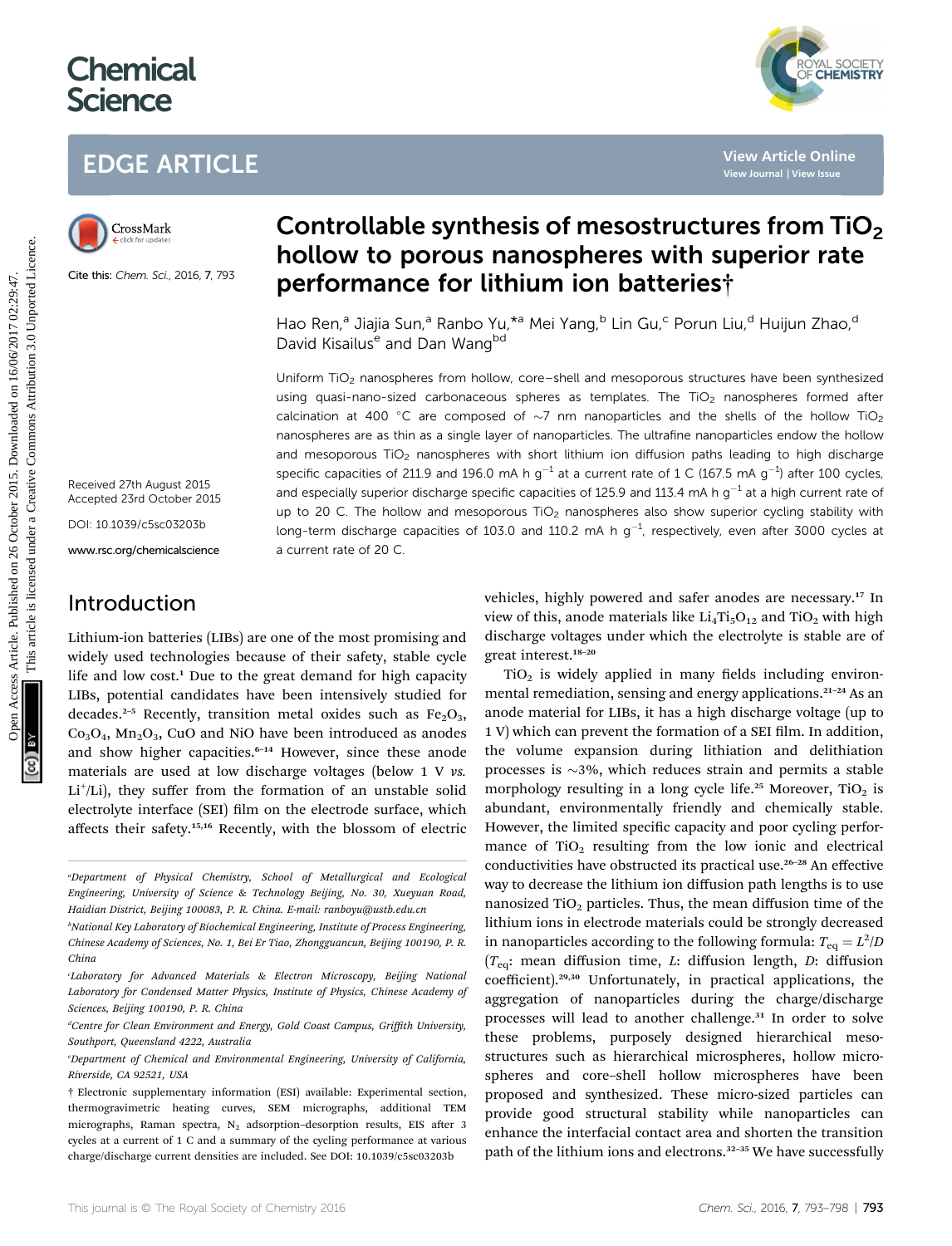# **Chemical Science**

## EDGE ARTICLE



Cite this: Chem. Sci., 2016, 7, 793

## Controllable synthesis of mesostructures from TiO<sub>2</sub> hollow to porous nanospheres with superior rate performance for lithium ion batteries†

Hao Ren,<sup>a</sup> Jiajia Sun,<sup>a</sup> Ranbo Yu,<sup>\*a</sup> Mei Yang,<sup>b</sup> Lin Gu,<sup>c</sup> Porun Liu,<sup>d</sup> Huijun Zhao,<sup>d</sup> David Kisailus<sup>e</sup> and Dan Wang<sup>bd</sup>

Uniform TiO<sub>2</sub> nanospheres from hollow, core–shell and mesoporous structures have been synthesized using quasi-nano-sized carbonaceous spheres as templates. The  $TiO<sub>2</sub>$  nanospheres formed after calcination at 400 °C are composed of  $\sim$ 7 nm nanoparticles and the shells of the hollow TiO<sub>2</sub> nanospheres are as thin as a single layer of nanoparticles. The ultrafine nanoparticles endow the hollow and mesoporous TiO<sub>2</sub> nanospheres with short lithium ion diffusion paths leading to high discharge specific capacities of 211.9 and 196.0 mA h  $g^{-1}$  at a current rate of 1 C (167.5 mA  $g^{-1}$ ) after 100 cycles, and especially superior discharge specific capacities of 125.9 and 113.4 mA h  $q^{-1}$  at a high current rate of up to 20 C. The hollow and mesoporous  $TiO<sub>2</sub>$  nanospheres also show superior cycling stability with long-term discharge capacities of 103.0 and 110.2 mA h  $g^{-1}$ , respectively, even after 3000 cycles at a current rate of 20 C. **EDGE ARTICLE**<br>
ClossMather **Controllable synthesis of mesostructures from Tip (Search)<br>
<b>Controllable synthesis of mesostructures from Tip (Search)**<br> **ClossMather Controllable synthesis of mesostructures from Tip (Search** 

Received 27th August 2015 Accepted 23rd October 2015

DOI: 10.1039/c5sc03203b

www.rsc.org/chemicalscience

### Introduction

Lithium-ion batteries (LIBs) are one of the most promising and widely used technologies because of their safety, stable cycle life and low cost.<sup>1</sup> Due to the great demand for high capacity LIBs, potential candidates have been intensively studied for decades.<sup>2–5</sup> Recently, transition metal oxides such as  $Fe<sub>2</sub>O<sub>3</sub>$ ,  $Co<sub>3</sub>O<sub>4</sub>$ , Mn<sub>2</sub>O<sub>3</sub>, CuO and NiO have been introduced as anodes and show higher capacities.<sup>6-14</sup> However, since these anode materials are used at low discharge voltages (below 1 V vs. Li<sup>+</sup>/Li), they suffer from the formation of an unstable solid electrolyte interface (SEI) film on the electrode surface, which affects their safety.15,16 Recently, with the blossom of electric

vehicles, highly powered and safer anodes are necessary.<sup>17</sup> In view of this, anode materials like  $Li_4Ti_5O_{12}$  and TiO<sub>2</sub> with high discharge voltages under which the electrolyte is stable are of great interest.<sup>18</sup>–<sup>20</sup>

 $TiO<sub>2</sub>$  is widely applied in many fields including environmental remediation, sensing and energy applications.<sup>21-24</sup> As an anode material for LIBs, it has a high discharge voltage (up to 1 V) which can prevent the formation of a SEI film. In addition, the volume expansion during lithiation and delithiation processes is  $\sim$ 3%, which reduces strain and permits a stable morphology resulting in a long cycle life.<sup>25</sup> Moreover, TiO<sub>2</sub> is abundant, environmentally friendly and chemically stable. However, the limited specific capacity and poor cycling performance of  $TiO<sub>2</sub>$  resulting from the low ionic and electrical conductivities have obstructed its practical use.<sup>26-28</sup> An effective way to decrease the lithium ion diffusion path lengths is to use nanosized  $TiO<sub>2</sub>$  particles. Thus, the mean diffusion time of the lithium ions in electrode materials could be strongly decreased in nanoparticles according to the following formula:  $T_{\rm eq}=L^2/D$ ( $T_{eq}$ : mean diffusion time, L: diffusion length, D: diffusion coefficient).29,30 Unfortunately, in practical applications, the aggregation of nanoparticles during the charge/discharge processes will lead to another challenge.<sup>31</sup> In order to solve these problems, purposely designed hierarchical mesostructures such as hierarchical microspheres, hollow microspheres and core–shell hollow microspheres have been proposed and synthesized. These micro-sized particles can provide good structural stability while nanoparticles can enhance the interfacial contact area and shorten the transition path of the lithium ions and electrons.<sup>32-35</sup> We have successfully



a Department of Physical Chemistry, School of Metallurgical and Ecological Engineering, University of Science & Technology Beijing, No. 30, Xueyuan Road, Haidian District, Beijing 100083, P. R. China. E-mail: ranboyu@ustb.edu.cn

b National Key Laboratory of Biochemical Engineering, Institute of Process Engineering, Chinese Academy of Sciences, No. 1, Bei Er Tiao, Zhongguancun, Beijing 100190, P. R. China

Laboratory for Advanced Materials & Electron Microscopy, Beijing National<sup>.</sup> Laboratory for Condensed Matter Physics, Institute of Physics, Chinese Academy of Sciences, Beijing 100190, P. R. China

<sup>&</sup>lt;sup>a</sup>Centre for Clean Environment and Energy, Gold Coast Campus, Griffith University, Southport, Queensland 4222, Australia

e Department of Chemical and Environmental Engineering, University of California, Riverside, CA 92521, USA

<sup>†</sup> Electronic supplementary information (ESI) available: Experimental section, thermogravimetric heating curves, SEM micrographs, additional TEM micrographs, Raman spectra,  $N_2$  adsorption-desorption results, EIS after 3 cycles at a current of 1 C and a summary of the cycling performance at various charge/discharge current densities are included. See DOI: 10.1039/c5sc03203b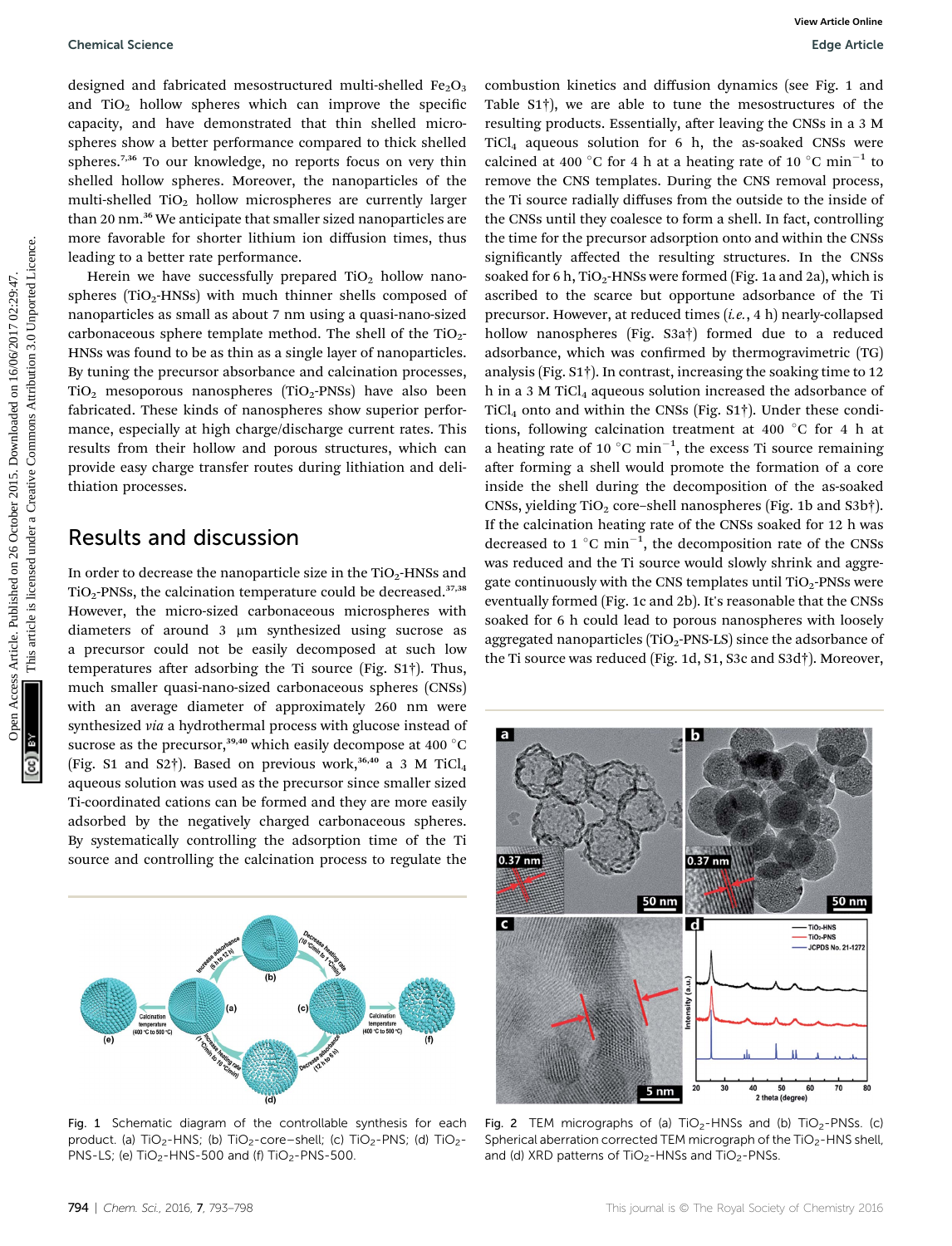designed and fabricated mesostructured multi-shelled  $Fe<sub>2</sub>O<sub>3</sub>$ and  $TiO<sub>2</sub>$  hollow spheres which can improve the specific capacity, and have demonstrated that thin shelled microspheres show a better performance compared to thick shelled spheres.<sup>7,36</sup> To our knowledge, no reports focus on very thin shelled hollow spheres. Moreover, the nanoparticles of the multi-shelled  $TiO<sub>2</sub>$  hollow microspheres are currently larger than 20 nm.<sup>36</sup> We anticipate that smaller sized nanoparticles are more favorable for shorter lithium ion diffusion times, thus leading to a better rate performance.

Herein we have successfully prepared  $TiO<sub>2</sub>$  hollow nanospheres (TiO<sub>2</sub>-HNSs) with much thinner shells composed of nanoparticles as small as about 7 nm using a quasi-nano-sized carbonaceous sphere template method. The shell of the  $TiO<sub>2</sub>$ -HNSs was found to be as thin as a single layer of nanoparticles. By tuning the precursor absorbance and calcination processes,  $TiO<sub>2</sub>$  mesoporous nanospheres  $(TIO<sub>2</sub>-PNSs)$  have also been fabricated. These kinds of nanospheres show superior performance, especially at high charge/discharge current rates. This results from their hollow and porous structures, which can provide easy charge transfer routes during lithiation and delithiation processes.

#### Results and discussion

In order to decrease the nanoparticle size in the  $TiO<sub>2</sub>$ -HNSs and  $TiO<sub>2</sub>$ -PNSs, the calcination temperature could be decreased.<sup>37,38</sup> However, the micro-sized carbonaceous microspheres with diameters of around  $3 \mu m$  synthesized using sucrose as a precursor could not be easily decomposed at such low temperatures after adsorbing the Ti source (Fig.  $S1\dagger$ ). Thus, much smaller quasi-nano-sized carbonaceous spheres (CNSs) with an average diameter of approximately 260 nm were synthesized via a hydrothermal process with glucose instead of sucrose as the precursor,<sup>39,40</sup> which easily decompose at 400 °C (Fig. S1 and S2†). Based on previous work,<sup>36,40</sup> a 3 M TiCl<sub>4</sub> aqueous solution was used as the precursor since smaller sized Ti-coordinated cations can be formed and they are more easily adsorbed by the negatively charged carbonaceous spheres. By systematically controlling the adsorption time of the Ti source and controlling the calcination process to regulate the



Fig. 1 Schematic diagram of the controllable synthesis for each product. (a) TiO<sub>2</sub>-HNS; (b) TiO<sub>2</sub>-core–shell; (c) TiO<sub>2</sub>-PNS; (d) TiO<sub>2</sub>-PNS-LS; (e)  $TiO<sub>2</sub>$ -HNS-500 and (f)  $TiO<sub>2</sub>$ -PNS-500.

combustion kinetics and diffusion dynamics (see Fig. 1 and Table S1†), we are able to tune the mesostructures of the resulting products. Essentially, after leaving the CNSs in a 3 M  $TiCl<sub>4</sub>$  aqueous solution for 6 h, the as-soaked CNSs were calcined at 400 °C for 4 h at a heating rate of 10 °C min<sup>-1</sup> to remove the CNS templates. During the CNS removal process, the Ti source radially diffuses from the outside to the inside of the CNSs until they coalesce to form a shell. In fact, controlling the time for the precursor adsorption onto and within the CNSs significantly affected the resulting structures. In the CNSs soaked for 6 h,  $TiO<sub>2</sub>$ -HNSs were formed (Fig. 1a and 2a), which is ascribed to the scarce but opportune adsorbance of the Ti precursor. However, at reduced times (i.e., 4 h) nearly-collapsed hollow nanospheres (Fig. S3a†) formed due to a reduced adsorbance, which was confirmed by thermogravimetric (TG) analysis (Fig. S1†). In contrast, increasing the soaking time to 12 h in a 3 M TiCl<sub>4</sub> aqueous solution increased the adsorbance of  $TiCl<sub>4</sub>$  onto and within the CNSs (Fig. S1†). Under these conditions, following calcination treatment at 400  $^{\circ}$ C for 4 h at a heating rate of 10  $^{\circ}$ C min<sup>-1</sup>, the excess Ti source remaining after forming a shell would promote the formation of a core inside the shell during the decomposition of the as-soaked CNSs, yielding  $TiO<sub>2</sub>$  core–shell nanospheres (Fig. 1b and S3b†). If the calcination heating rate of the CNSs soaked for 12 h was decreased to 1  $^{\circ}$ C min<sup>-1</sup>, the decomposition rate of the CNSs was reduced and the Ti source would slowly shrink and aggregate continuously with the CNS templates until  $TiO<sub>2</sub>$ -PNSs were eventually formed (Fig. 1c and 2b). It's reasonable that the CNSs soaked for 6 h could lead to porous nanospheres with loosely aggregated nanoparticles ( $TiO<sub>2</sub>$ -PNS-LS) since the adsorbance of the Ti source was reduced (Fig. 1d, S1, S3c and S3d†). Moreover, Openical Science<br>
Openical Solution Access Article. Published on 26 October 2015. The article is licensed on 2015. The article is licensed on 2015. The article is licensed on 2015. The article is licensed on 2017 02:29:57



Fig. 2 TEM micrographs of (a)  $TiO<sub>2</sub>-HNSs$  and (b)  $TiO<sub>2</sub>-PNSs$ . (c) Spherical aberration corrected TEM micrograph of the TiO<sub>2</sub>-HNS shell, and (d) XRD patterns of  $TiO<sub>2</sub>$ -HNSs and  $TiO<sub>2</sub>$ -PNSs.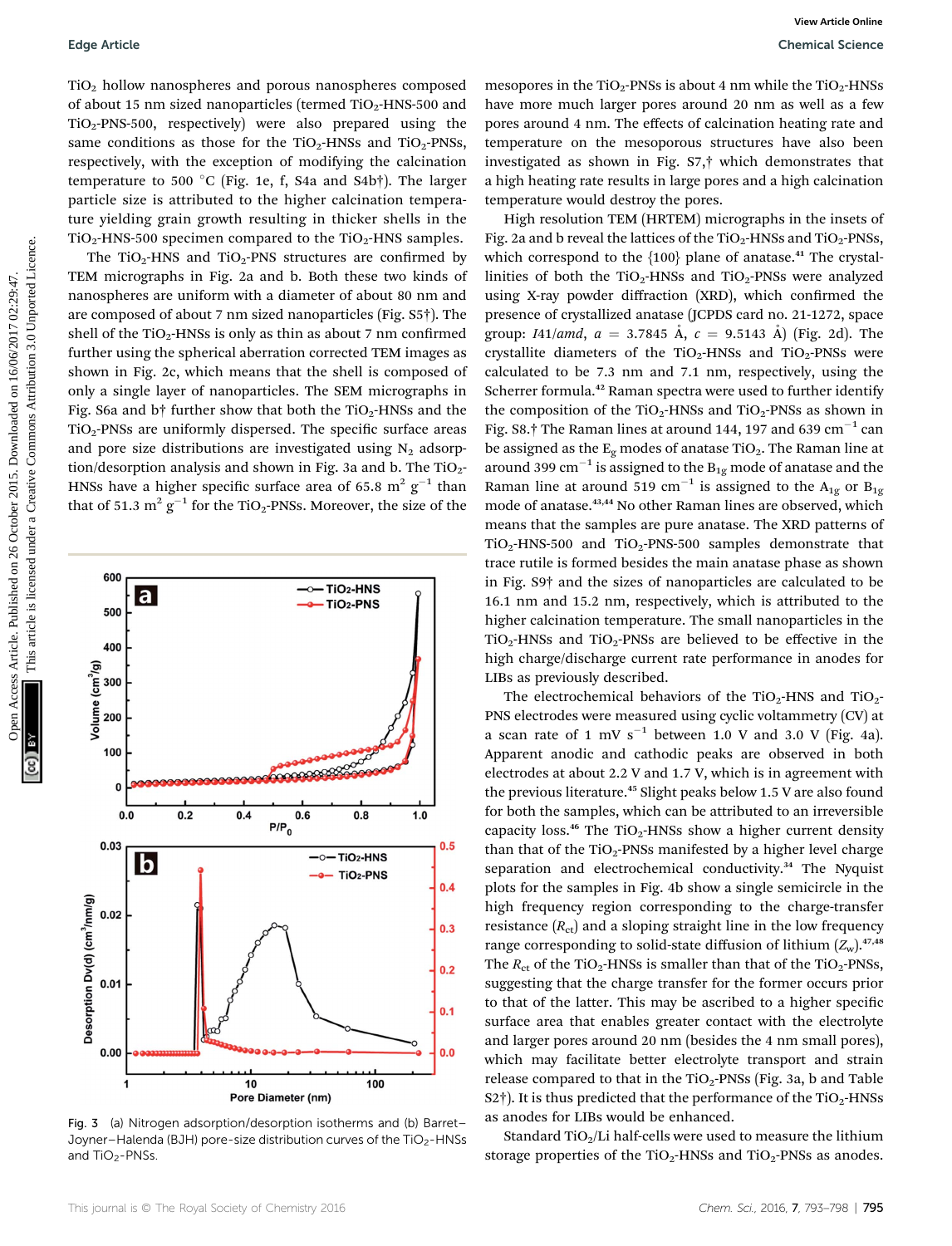$TiO<sub>2</sub>$  hollow nanospheres and porous nanospheres composed of about 15 nm sized nanoparticles (termed  $TiO<sub>2</sub>$ -HNS-500 and  $TiO<sub>2</sub>-PNS-500$ , respectively) were also prepared using the same conditions as those for the  $TiO_2$ -HNSs and  $TiO_2$ -PNSs, respectively, with the exception of modifying the calcination temperature to 500 °C (Fig. 1e, f, S4a and S4b†). The larger particle size is attributed to the higher calcination temperature yielding grain growth resulting in thicker shells in the  $TiO<sub>2</sub>$ -HNS-500 specimen compared to the TiO<sub>2</sub>-HNS samples.

The  $TiO<sub>2</sub>$ -HNS and  $TiO<sub>2</sub>$ -PNS structures are confirmed by TEM micrographs in Fig. 2a and b. Both these two kinds of nanospheres are uniform with a diameter of about 80 nm and are composed of about 7 nm sized nanoparticles (Fig. S5†). The shell of the  $TiO<sub>2</sub>$ -HNSs is only as thin as about 7 nm confirmed further using the spherical aberration corrected TEM images as shown in Fig. 2c, which means that the shell is composed of only a single layer of nanoparticles. The SEM micrographs in Fig. S6a and b† further show that both the  $TiO<sub>2</sub>$ -HNSs and the  $TiO<sub>2</sub>$ -PNSs are uniformly dispersed. The specific surface areas and pore size distributions are investigated using  $N_2$  adsorption/desorption analysis and shown in Fig. 3a and b. The  $TiO<sub>2</sub>$ -HNSs have a higher specific surface area of 65.8  $m^2$  g<sup>-1</sup> than that of 51.3  $m^2$   $g^{-1}$  for the TiO<sub>2</sub>-PNSs. Moreover, the size of the



Fig. 3 (a) Nitrogen adsorption/desorption isotherms and (b) Barret– Joyner–Halenda (BJH) pore-size distribution curves of the TiO<sub>2</sub>-HNSs and  $TiO<sub>2</sub>$ -PNSs.

mesopores in the TiO<sub>2</sub>-PNSs is about 4 nm while the TiO<sub>2</sub>-HNSs have more much larger pores around 20 nm as well as a few pores around 4 nm. The effects of calcination heating rate and temperature on the mesoporous structures have also been investigated as shown in Fig. S7,† which demonstrates that a high heating rate results in large pores and a high calcination temperature would destroy the pores.

High resolution TEM (HRTEM) micrographs in the insets of Fig. 2a and b reveal the lattices of the TiO<sub>2</sub>-HNSs and TiO<sub>2</sub>-PNSs, which correspond to the  $\{100\}$  plane of anatase.<sup>41</sup> The crystallinities of both the  $TiO<sub>2</sub>$ -HNSs and  $TiO<sub>2</sub>$ -PNSs were analyzed using X-ray powder diffraction (XRD), which confirmed the presence of crystallized anatase (JCPDS card no. 21-1272, space group: *I41/amd*,  $a = 3.7845 \text{ Å}$ ,  $c = 9.5143 \text{ Å}$  (Fig. 2d). The crystallite diameters of the  $TiO<sub>2</sub>$ -HNSs and  $TiO<sub>2</sub>$ -PNSs were calculated to be 7.3 nm and 7.1 nm, respectively, using the Scherrer formula.<sup>42</sup> Raman spectra were used to further identify the composition of the  $TiO<sub>2</sub>$ -HNSs and  $TiO<sub>2</sub>$ -PNSs as shown in Fig. S8.† The Raman lines at around 144, 197 and 639  $cm^{-1}$  can be assigned as the  $E_{\varphi}$  modes of anatase TiO<sub>2</sub>. The Raman line at around 399 cm<sup>-1</sup> is assigned to the  $B_{1g}$  mode of anatase and the Raman line at around 519 cm<sup>-1</sup> is assigned to the A<sub>1g</sub> or B<sub>1g</sub> mode of anatase.<sup>43,44</sup> No other Raman lines are observed, which means that the samples are pure anatase. The XRD patterns of  $TiO<sub>2</sub>$ -HNS-500 and  $TiO<sub>2</sub>$ -PNS-500 samples demonstrate that trace rutile is formed besides the main anatase phase as shown in Fig. S9† and the sizes of nanoparticles are calculated to be 16.1 nm and 15.2 nm, respectively, which is attributed to the higher calcination temperature. The small nanoparticles in the  $TiO<sub>2</sub>$ -HNSs and  $TiO<sub>2</sub>$ -PNSs are believed to be effective in the high charge/discharge current rate performance in anodes for LIBs as previously described. Equis Article.<br>
TO, hollow manuspeares and proves amorpheris composed measures in the To-PRSs are hollow in Section 2017 of the Sight of the Tyle-1908 or 2017 of the Sight of the Tyle-1908 or 2017 of the Sight of the Crea

The electrochemical behaviors of the TiO<sub>2</sub>-HNS and TiO<sub>2</sub>-PNS electrodes were measured using cyclic voltammetry (CV) at a scan rate of 1 mV  $s^{-1}$  between 1.0 V and 3.0 V (Fig. 4a). Apparent anodic and cathodic peaks are observed in both electrodes at about 2.2 V and 1.7 V, which is in agreement with the previous literature.<sup>45</sup> Slight peaks below 1.5 V are also found for both the samples, which can be attributed to an irreversible capacity loss.<sup>46</sup> The TiO<sub>2</sub>-HNSs show a higher current density than that of the  $TiO<sub>2</sub>$ -PNSs manifested by a higher level charge separation and electrochemical conductivity.<sup>34</sup> The Nyquist plots for the samples in Fig. 4b show a single semicircle in the high frequency region corresponding to the charge-transfer resistance  $(R<sub>ct</sub>)$  and a sloping straight line in the low frequency range corresponding to solid-state diffusion of lithium  $(Z_w)$ .<sup>47,48</sup> The  $R_{\text{ct}}$  of the TiO<sub>2</sub>-HNSs is smaller than that of the TiO<sub>2</sub>-PNSs, suggesting that the charge transfer for the former occurs prior to that of the latter. This may be ascribed to a higher specific surface area that enables greater contact with the electrolyte and larger pores around 20 nm (besides the 4 nm small pores), which may facilitate better electrolyte transport and strain release compared to that in the  $TiO<sub>2</sub>$ -PNSs (Fig. 3a, b and Table S2 $\dagger$ ). It is thus predicted that the performance of the TiO<sub>2</sub>-HNSs as anodes for LIBs would be enhanced.

Standard TiO<sub>2</sub>/Li half-cells were used to measure the lithium storage properties of the  $TiO<sub>2</sub>$ -HNSs and  $TiO<sub>2</sub>$ -PNSs as anodes.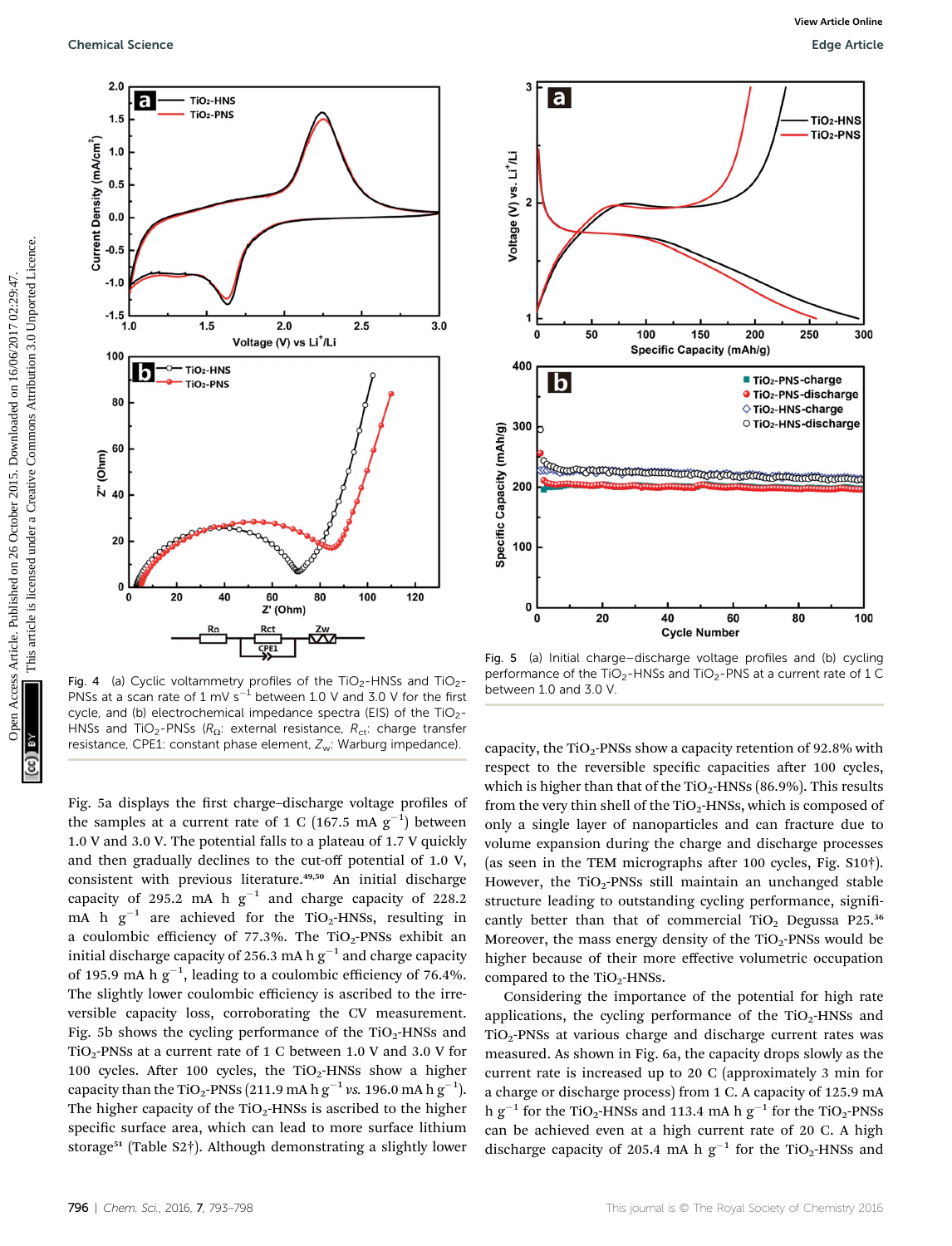

Fig. 4 (a) Cyclic voltammetry profiles of the TiO<sub>2</sub>-HNSs and TiO<sub>2</sub>-PNSs at a scan rate of  $1 \text{ mV s}^{-1}$  between 1.0 V and 3.0 V for the first cycle, and (b) electrochemical impedance spectra (EIS) of the TiO<sub>2</sub>-HNSs and TiO<sub>2</sub>-PNSs ( $R_{\Omega}$ : external resistance,  $R_{\text{ct}}$ : charge transfer resistance, CPE1: constant phase element, Z<sub>w</sub>: Warburg impedance).

Fig. 5a displays the first charge–discharge voltage profiles of the samples at a current rate of 1 C (167.5 mA  $\rm g^{-1})$  between 1.0 V and 3.0 V. The potential falls to a plateau of 1.7 V quickly and then gradually declines to the cut-off potential of 1.0 V, consistent with previous literature.<sup>49,50</sup> An initial discharge capacity of 295.2 mA h  $g^{-1}$  and charge capacity of 228.2 mA h  $g^{-1}$  are achieved for the TiO<sub>2</sub>-HNSs, resulting in a coulombic efficiency of 77.3%. The  $TiO<sub>2</sub>$ -PNSs exhibit an initial discharge capacity of 256.3 mA h  $g^{-1}$  and charge capacity of 195.9 mA h  $\rm{g}^{-1}$ , leading to a coulombic efficiency of 76.4%. The slightly lower coulombic efficiency is ascribed to the irreversible capacity loss, corroborating the CV measurement. Fig. 5b shows the cycling performance of the  $TiO<sub>2</sub>$ -HNSs and TiO<sub>2</sub>-PNSs at a current rate of 1 C between 1.0 V and 3.0 V for 100 cycles. After 100 cycles, the TiO<sub>2</sub>-HNSs show a higher capacity than the TiO<sub>2</sub>-PNSs (211.9 mA h  $\rm{g}^{-1}$  vs. 196.0 mA h  $\rm{g}^{-1}$ ). The higher capacity of the  $TiO<sub>2</sub>$ -HNSs is ascribed to the higher specific surface area, which can lead to more surface lithium storage<sup>51</sup> (Table S2†). Although demonstrating a slightly lower



Fig. 5 (a) Initial charge–discharge voltage profiles and (b) cycling performance of the TiO<sub>2</sub>-HNSs and TiO<sub>2</sub>-PNS at a current rate of 1 C between 1.0 and 3.0 V.

capacity, the TiO<sub>2</sub>-PNSs show a capacity retention of 92.8% with respect to the reversible specific capacities after 100 cycles, which is higher than that of the  $TiO<sub>2</sub>$ -HNSs (86.9%). This results from the very thin shell of the  $TiO<sub>2</sub>$ -HNSs, which is composed of only a single layer of nanoparticles and can fracture due to volume expansion during the charge and discharge processes (as seen in the TEM micrographs after 100 cycles, Fig.  $S10\dagger$ ). However, the TiO<sub>2</sub>-PNSs still maintain an unchanged stable structure leading to outstanding cycling performance, significantly better than that of commercial TiO<sub>2</sub> Degussa P25. $36$ Moreover, the mass energy density of the  $TiO<sub>2</sub>$ -PNSs would be higher because of their more effective volumetric occupation compared to the  $TiO<sub>2</sub>$ -HNSs.

Considering the importance of the potential for high rate applications, the cycling performance of the  $TiO<sub>2</sub>$ -HNSs and TiO2-PNSs at various charge and discharge current rates was measured. As shown in Fig. 6a, the capacity drops slowly as the current rate is increased up to 20 C (approximately 3 min for a charge or discharge process) from 1 C. A capacity of 125.9 mA h g<sup>-1</sup> for the TiO<sub>2</sub>-HNSs and 113.4 mA h g<sup>-1</sup> for the TiO<sub>2</sub>-PNSs can be achieved even at a high current rate of 20 C. A high discharge capacity of 205.4 mA h  $g^{-1}$  for the TiO<sub>2</sub>-HNSs and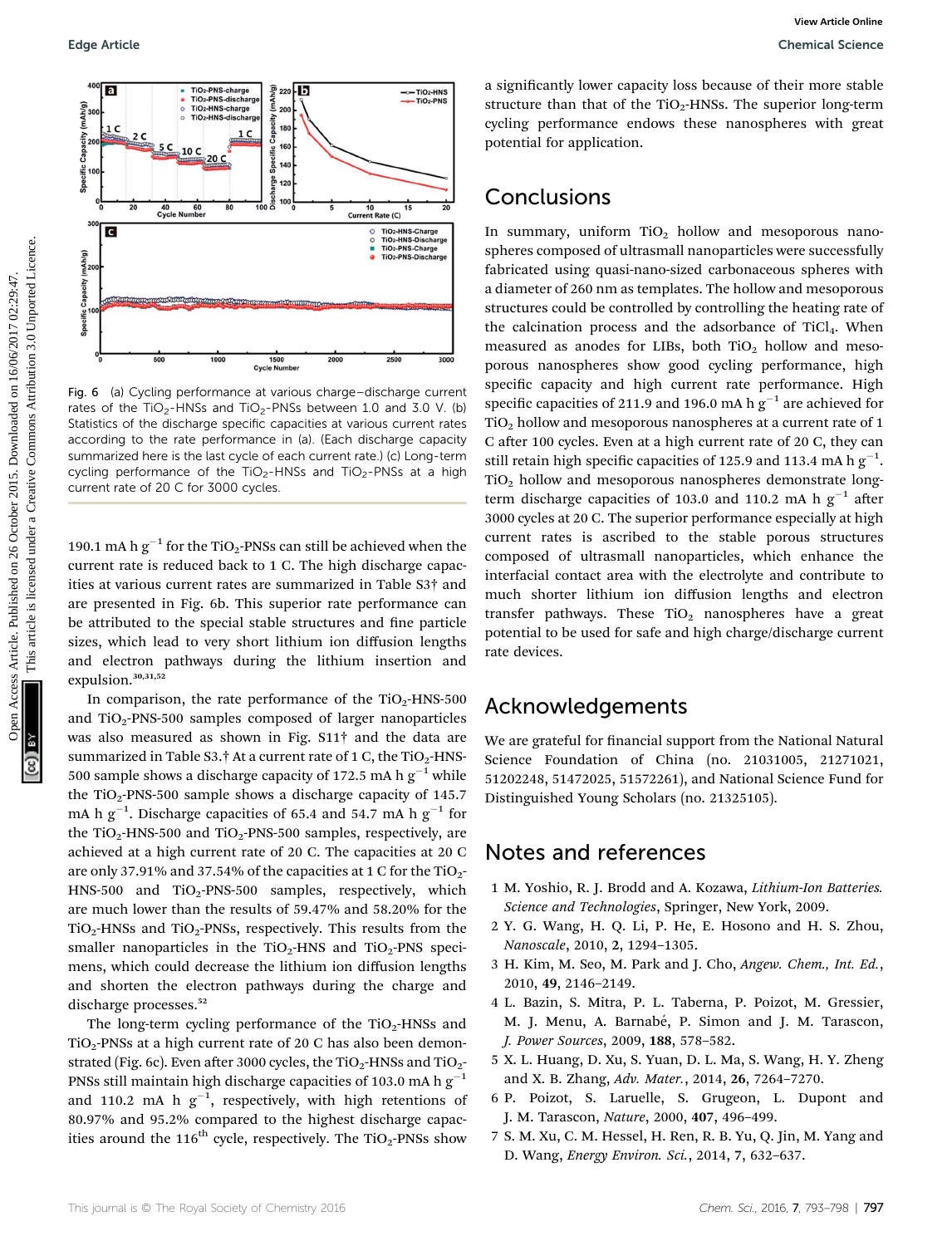

Fig. 6 (a) Cycling performance at various charge–discharge current rates of the TiO<sub>2</sub>-HNSs and TiO<sub>2</sub>-PNSs between 1.0 and 3.0 V. (b) Statistics of the discharge specific capacities at various current rates according to the rate performance in (a). (Each discharge capacity summarized here is the last cycle of each current rate.) (c) Long-term cycling performance of the  $TiO<sub>2</sub>-HNSs$  and  $TiO<sub>2</sub>-PNSs$  at a high current rate of 20 C for 3000 cycles.

190.1 mA h  $g^{-1}$  for the TiO<sub>2</sub>-PNSs can still be achieved when the current rate is reduced back to 1 C. The high discharge capacities at various current rates are summarized in Table S3† and are presented in Fig. 6b. This superior rate performance can be attributed to the special stable structures and fine particle sizes, which lead to very short lithium ion diffusion lengths and electron pathways during the lithium insertion and expulsion.<sup>30,31,52</sup>

In comparison, the rate performance of the  $TiO<sub>2</sub>$ -HNS-500 and  $TiO<sub>2</sub>$ -PNS-500 samples composed of larger nanoparticles was also measured as shown in Fig. S11† and the data are summarized in Table S3.† At a current rate of 1 C, the TiO<sub>2</sub>-HNS-500 sample shows a discharge capacity of 172.5 mA h  $g^{-1}$  while the  $TiO<sub>2</sub>$ -PNS-500 sample shows a discharge capacity of 145.7 mA h  $\rm g^{-1}$ . Discharge capacities of 65.4 and 54.7 mA h  $\rm g^{-1}$  for the TiO<sub>2</sub>-HNS-500 and TiO<sub>2</sub>-PNS-500 samples, respectively, are achieved at a high current rate of 20 C. The capacities at 20 C are only 37.91% and 37.54% of the capacities at 1 C for the  $TiO<sub>2</sub>$ -HNS-500 and  $TiO<sub>2</sub>$ -PNS-500 samples, respectively, which are much lower than the results of 59.47% and 58.20% for the  $TiO<sub>2</sub>$ -HNSs and  $TiO<sub>2</sub>$ -PNSs, respectively. This results from the smaller nanoparticles in the TiO<sub>2</sub>-HNS and TiO<sub>2</sub>-PNS specimens, which could decrease the lithium ion diffusion lengths and shorten the electron pathways during the charge and discharge processes.<sup>52</sup>

The long-term cycling performance of the  $TiO<sub>2</sub>$ -HNSs and  $TiO<sub>2</sub>$ -PNSs at a high current rate of 20 C has also been demonstrated (Fig. 6c). Even after 3000 cycles, the  $TiO_2$ -HNSs and  $TiO_2$ -PNSs still maintain high discharge capacities of 103.0 mA h  $g^{-1}$ and 110.2 mA h  $g^{-1}$ , respectively, with high retentions of 80.97% and 95.2% compared to the highest discharge capacities around the  $116^{th}$  cycle, respectively. The TiO<sub>2</sub>-PNSs show

a significantly lower capacity loss because of their more stable structure than that of the  $TiO<sub>2</sub>$ -HNSs. The superior long-term cycling performance endows these nanospheres with great potential for application.

### **Conclusions**

In summary, uniform  $TiO<sub>2</sub>$  hollow and mesoporous nanospheres composed of ultrasmall nanoparticles were successfully fabricated using quasi-nano-sized carbonaceous spheres with a diameter of 260 nm as templates. The hollow and mesoporous structures could be controlled by controlling the heating rate of the calcination process and the adsorbance of TiCl<sub>4</sub>. When measured as anodes for LIBs, both  $TiO<sub>2</sub>$  hollow and mesoporous nanospheres show good cycling performance, high specific capacity and high current rate performance. High specific capacities of 211.9 and 196.0 mA h  $g^{-1}$  are achieved for  $\rm TiO_2$  hollow and mesoporous nanospheres at a current rate of 1 C after 100 cycles. Even at a high current rate of 20 C, they can still retain high specific capacities of 125.9 and 113.4 mA h  $\rm g^{-1}$ . TiO2 hollow and mesoporous nanospheres demonstrate longterm discharge capacities of 103.0 and 110.2 mA h  $g^{-1}$  after 3000 cycles at 20 C. The superior performance especially at high current rates is ascribed to the stable porous structures composed of ultrasmall nanoparticles, which enhance the interfacial contact area with the electrolyte and contribute to much shorter lithium ion diffusion lengths and electron transfer pathways. These  $TiO<sub>2</sub>$  nanospheres have a great potential to be used for safe and high charge/discharge current rate devices. Edge Article. Common access Article is an experiment and the state of the Top-1906. The superinterion with the State of the Top-1906. The superinterion of the Top-1906. The superinterion of the Top-1906. The superinterion

#### Acknowledgements

We are grateful for financial support from the National Natural Science Foundation of China (no. 21031005, 21271021, 51202248, 51472025, 51572261), and National Science Fund for Distinguished Young Scholars (no. 21325105).

#### Notes and references

- 1 M. Yoshio, R. J. Brodd and A. Kozawa, Lithium-Ion Batteries. Science and Technologies, Springer, New York, 2009.
- 2 Y. G. Wang, H. Q. Li, P. He, E. Hosono and H. S. Zhou, Nanoscale, 2010, 2, 1294–1305.
- 3 H. Kim, M. Seo, M. Park and J. Cho, Angew. Chem., Int. Ed., 2010, 49, 2146–2149.
- 4 L. Bazin, S. Mitra, P. L. Taberna, P. Poizot, M. Gressier, M. J. Menu, A. Barnabé, P. Simon and J. M. Tarascon, J. Power Sources, 2009, 188, 578–582.
- 5 X. L. Huang, D. Xu, S. Yuan, D. L. Ma, S. Wang, H. Y. Zheng and X. B. Zhang, Adv. Mater., 2014, 26, 7264–7270.
- 6 P. Poizot, S. Laruelle, S. Grugeon, L. Dupont and J. M. Tarascon, Nature, 2000, 407, 496–499.
- 7 S. M. Xu, C. M. Hessel, H. Ren, R. B. Yu, Q. Jin, M. Yang and D. Wang, Energy Environ. Sci., 2014, 7, 632–637.